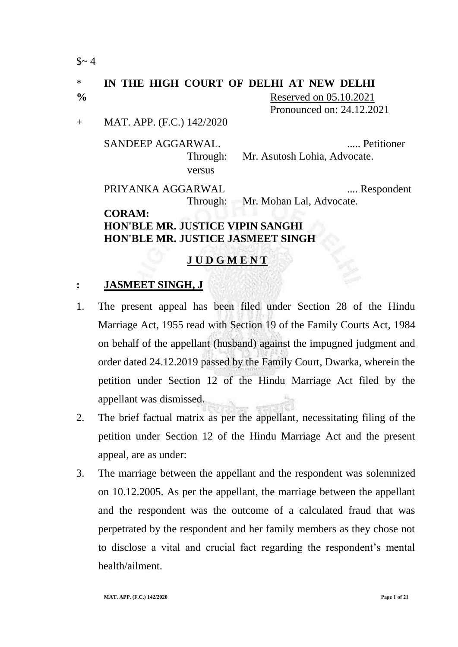$$~4$ 

# \* **IN THE HIGH COURT OF DELHI AT NEW DELHI**

**%** Reserved on 05.10.2021 Pronounced on: 24.12.2021

+ MAT. APP. (F.C.) 142/2020

SANDEEP AGGARWAL. ..... Petitioner versus

Through: Mr. Asutosh Lohia, Advocate.

PRIYANKA AGGARWAL ..... Respondent

Through: Mr. Mohan Lal, Advocate.

## **CORAM: HON'BLE MR. JUSTICE VIPIN SANGHI HON'BLE MR. JUSTICE JASMEET SINGH**

# **J U D G M E N T**

#### **: JASMEET SINGH, J**

- 1. The present appeal has been filed under Section 28 of the Hindu Marriage Act, 1955 read with Section 19 of the Family Courts Act, 1984 on behalf of the appellant (husband) against the impugned judgment and order dated 24.12.2019 passed by the Family Court, Dwarka, wherein the petition under Section 12 of the Hindu Marriage Act filed by the appellant was dismissed.
- 2. The brief factual matrix as per the appellant, necessitating filing of the petition under Section 12 of the Hindu Marriage Act and the present appeal, are as under:
- 3. The marriage between the appellant and the respondent was solemnized on 10.12.2005. As per the appellant, the marriage between the appellant and the respondent was the outcome of a calculated fraud that was perpetrated by the respondent and her family members as they chose not to disclose a vital and crucial fact regarding the respondent"s mental health/ailment.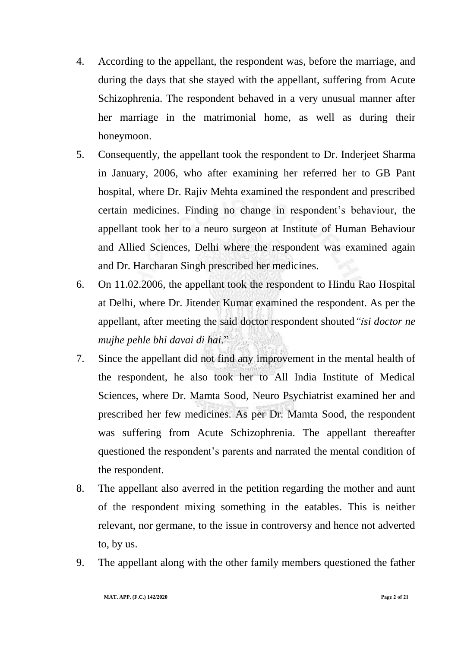- 4. According to the appellant, the respondent was, before the marriage, and during the days that she stayed with the appellant, suffering from Acute Schizophrenia. The respondent behaved in a very unusual manner after her marriage in the matrimonial home, as well as during their honeymoon.
- 5. Consequently, the appellant took the respondent to Dr. Inderjeet Sharma in January, 2006, who after examining her referred her to GB Pant hospital, where Dr. Rajiv Mehta examined the respondent and prescribed certain medicines. Finding no change in respondent"s behaviour, the appellant took her to a neuro surgeon at Institute of Human Behaviour and Allied Sciences, Delhi where the respondent was examined again and Dr. Harcharan Singh prescribed her medicines.
- 6. On 11.02.2006, the appellant took the respondent to Hindu Rao Hospital at Delhi, where Dr. Jitender Kumar examined the respondent. As per the appellant, after meeting the said doctor respondent shouted*"isi doctor ne mujhe pehle bhi davai di hai*."
- 7. Since the appellant did not find any improvement in the mental health of the respondent, he also took her to All India Institute of Medical Sciences, where Dr. Mamta Sood, Neuro Psychiatrist examined her and prescribed her few medicines. As per Dr. Mamta Sood, the respondent was suffering from Acute Schizophrenia. The appellant thereafter questioned the respondent"s parents and narrated the mental condition of the respondent.
- 8. The appellant also averred in the petition regarding the mother and aunt of the respondent mixing something in the eatables. This is neither relevant, nor germane, to the issue in controversy and hence not adverted to, by us.
- 9. The appellant along with the other family members questioned the father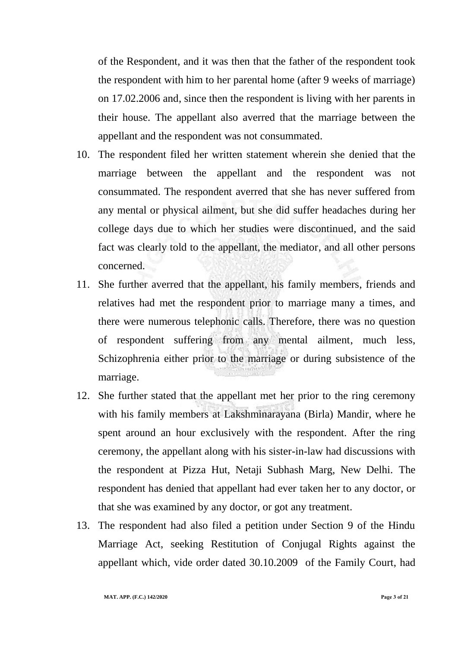of the Respondent, and it was then that the father of the respondent took the respondent with him to her parental home (after 9 weeks of marriage) on 17.02.2006 and, since then the respondent is living with her parents in their house. The appellant also averred that the marriage between the appellant and the respondent was not consummated.

- 10. The respondent filed her written statement wherein she denied that the marriage between the appellant and the respondent was not consummated. The respondent averred that she has never suffered from any mental or physical ailment, but she did suffer headaches during her college days due to which her studies were discontinued, and the said fact was clearly told to the appellant, the mediator, and all other persons concerned.
- 11. She further averred that the appellant, his family members, friends and relatives had met the respondent prior to marriage many a times, and there were numerous telephonic calls. Therefore, there was no question of respondent suffering from any mental ailment, much less, Schizophrenia either prior to the marriage or during subsistence of the marriage.
- 12. She further stated that the appellant met her prior to the ring ceremony with his family members at Lakshminarayana (Birla) Mandir, where he spent around an hour exclusively with the respondent. After the ring ceremony, the appellant along with his sister-in-law had discussions with the respondent at Pizza Hut, Netaji Subhash Marg, New Delhi. The respondent has denied that appellant had ever taken her to any doctor, or that she was examined by any doctor, or got any treatment.
- 13. The respondent had also filed a petition under Section 9 of the Hindu Marriage Act, seeking Restitution of Conjugal Rights against the appellant which, vide order dated 30.10.2009 of the Family Court, had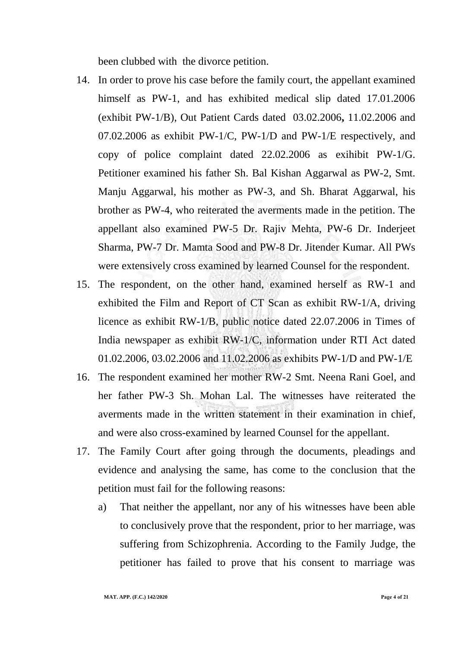been clubbed with the divorce petition.

- 14. In order to prove his case before the family court, the appellant examined himself as PW-1, and has exhibited medical slip dated 17.01.2006 (exhibit PW-1/B), Out Patient Cards dated 03.02.2006**,** 11.02.2006 and 07.02.2006 as exhibit PW-1/C, PW-1/D and PW-1/E respectively, and copy of police complaint dated 22.02.2006 as exihibit PW-1/G. Petitioner examined his father Sh. Bal Kishan Aggarwal as PW-2, Smt. Manju Aggarwal, his mother as PW-3, and Sh. Bharat Aggarwal, his brother as PW-4, who reiterated the averments made in the petition. The appellant also examined PW-5 Dr. Rajiv Mehta, PW-6 Dr. Inderjeet Sharma, PW-7 Dr. Mamta Sood and PW-8 Dr. Jitender Kumar. All PWs were extensively cross examined by learned Counsel for the respondent.
- 15. The respondent, on the other hand, examined herself as RW-1 and exhibited the Film and Report of CT Scan as exhibit RW-1/A, driving licence as exhibit RW-1/B, public notice dated 22.07.2006 in Times of India newspaper as exhibit RW-1/C, information under RTI Act dated 01.02.2006, 03.02.2006 and 11.02.2006 as exhibits PW-1/D and PW-1/E
- 16. The respondent examined her mother RW-2 Smt. Neena Rani Goel, and her father PW-3 Sh. Mohan Lal. The witnesses have reiterated the averments made in the written statement in their examination in chief, and were also cross-examined by learned Counsel for the appellant.
- 17. The Family Court after going through the documents, pleadings and evidence and analysing the same, has come to the conclusion that the petition must fail for the following reasons:
	- a) That neither the appellant, nor any of his witnesses have been able to conclusively prove that the respondent, prior to her marriage, was suffering from Schizophrenia. According to the Family Judge, the petitioner has failed to prove that his consent to marriage was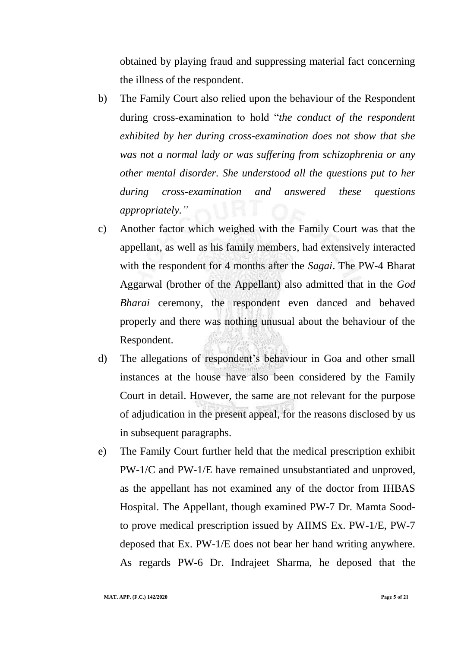obtained by playing fraud and suppressing material fact concerning the illness of the respondent.

- b) The Family Court also relied upon the behaviour of the Respondent during cross-examination to hold "*the conduct of the respondent exhibited by her during cross-examination does not show that she was not a normal lady or was suffering from schizophrenia or any other mental disorder. She understood all the questions put to her during cross-examination and answered these questions appropriately."*
- c) Another factor which weighed with the Family Court was that the appellant, as well as his family members, had extensively interacted with the respondent for 4 months after the *Sagai*. The PW-4 Bharat Aggarwal (brother of the Appellant) also admitted that in the *God Bharai* ceremony, the respondent even danced and behaved properly and there was nothing unusual about the behaviour of the Respondent.
- d) The allegations of respondent"s behaviour in Goa and other small instances at the house have also been considered by the Family Court in detail. However, the same are not relevant for the purpose of adjudication in the present appeal, for the reasons disclosed by us in subsequent paragraphs.
- e) The Family Court further held that the medical prescription exhibit PW-1/C and PW-1/E have remained unsubstantiated and unproved, as the appellant has not examined any of the doctor from IHBAS Hospital. The Appellant, though examined PW-7 Dr. Mamta Soodto prove medical prescription issued by AIIMS Ex. PW-1/E, PW-7 deposed that Ex. PW-1/E does not bear her hand writing anywhere. As regards PW-6 Dr. Indrajeet Sharma, he deposed that the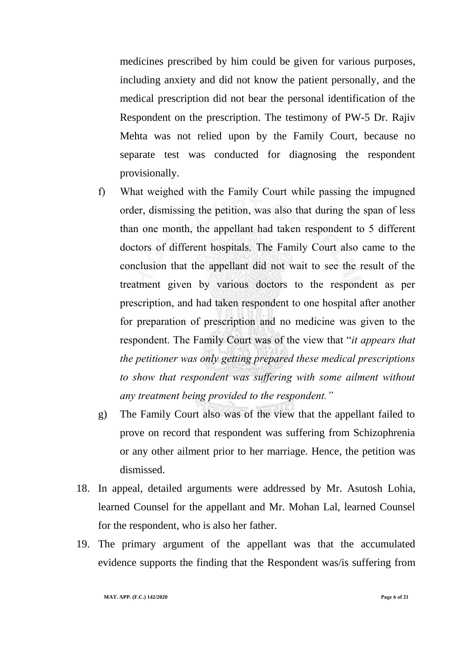medicines prescribed by him could be given for various purposes, including anxiety and did not know the patient personally, and the medical prescription did not bear the personal identification of the Respondent on the prescription. The testimony of PW-5 Dr. Rajiv Mehta was not relied upon by the Family Court, because no separate test was conducted for diagnosing the respondent provisionally.

- f) What weighed with the Family Court while passing the impugned order, dismissing the petition, was also that during the span of less than one month, the appellant had taken respondent to 5 different doctors of different hospitals. The Family Court also came to the conclusion that the appellant did not wait to see the result of the treatment given by various doctors to the respondent as per prescription, and had taken respondent to one hospital after another for preparation of prescription and no medicine was given to the respondent. The Family Court was of the view that "*it appears that the petitioner was only getting prepared these medical prescriptions to show that respondent was suffering with some ailment without any treatment being provided to the respondent."*
- g) The Family Court also was of the view that the appellant failed to prove on record that respondent was suffering from Schizophrenia or any other ailment prior to her marriage. Hence, the petition was dismissed.
- 18. In appeal, detailed arguments were addressed by Mr. Asutosh Lohia, learned Counsel for the appellant and Mr. Mohan Lal, learned Counsel for the respondent, who is also her father.
- 19. The primary argument of the appellant was that the accumulated evidence supports the finding that the Respondent was/is suffering from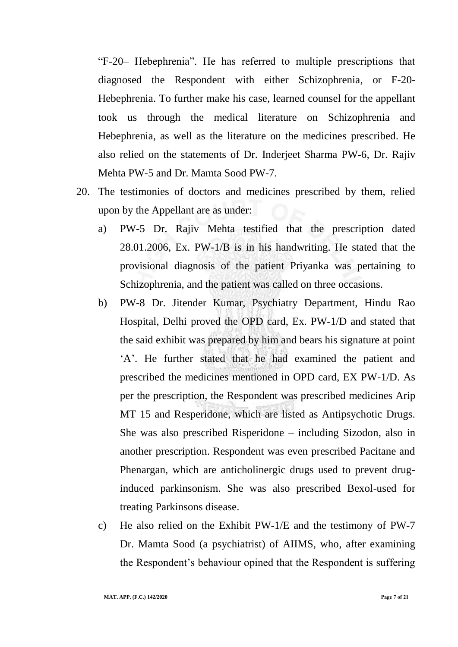"F-20– Hebephrenia". He has referred to multiple prescriptions that diagnosed the Respondent with either Schizophrenia, or F-20- Hebephrenia. To further make his case, learned counsel for the appellant took us through the medical literature on Schizophrenia and Hebephrenia, as well as the literature on the medicines prescribed. He also relied on the statements of Dr. Inderjeet Sharma PW-6, Dr. Rajiv Mehta PW-5 and Dr. Mamta Sood PW-7.

- 20. The testimonies of doctors and medicines prescribed by them, relied upon by the Appellant are as under:
	- a) PW-5 Dr. Rajiv Mehta testified that the prescription dated 28.01.2006, Ex. PW-1/B is in his handwriting. He stated that the provisional diagnosis of the patient Priyanka was pertaining to Schizophrenia, and the patient was called on three occasions.
	- b) PW-8 Dr. Jitender Kumar, Psychiatry Department, Hindu Rao Hospital, Delhi proved the OPD card, Ex. PW-1/D and stated that the said exhibit was prepared by him and bears his signature at point "A". He further stated that he had examined the patient and prescribed the medicines mentioned in OPD card, EX PW-1/D. As per the prescription, the Respondent was prescribed medicines Arip MT 15 and Resperidone, which are listed as Antipsychotic Drugs. She was also prescribed Risperidone – including Sizodon, also in another prescription. Respondent was even prescribed Pacitane and Phenargan, which are anticholinergic drugs used to prevent druginduced parkinsonism. She was also prescribed Bexol-used for treating Parkinsons disease.
	- c) He also relied on the Exhibit PW-1/E and the testimony of PW-7 Dr. Mamta Sood (a psychiatrist) of AIIMS, who, after examining the Respondent"s behaviour opined that the Respondent is suffering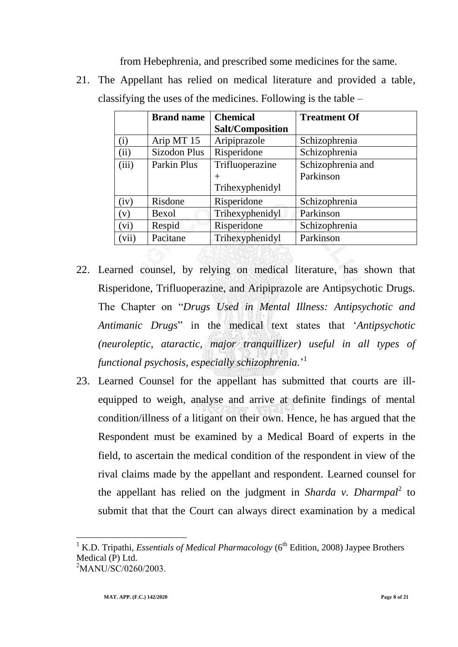from Hebephrenia, and prescribed some medicines for the same.

21. The Appellant has relied on medical literature and provided a table, classifying the uses of the medicines. Following is the table –

| <b>Brand name</b> | <b>Chemical</b>         | <b>Treatment Of</b> |
|-------------------|-------------------------|---------------------|
|                   | <b>Salt/Composition</b> |                     |
| Arip MT 15        | Aripiprazole            | Schizophrenia       |
| Sizodon Plus      | Risperidone             | Schizophrenia       |
| Parkin Plus       | Trifluoperazine         | Schizophrenia and   |
|                   | $^{+}$                  | Parkinson           |
|                   | Trihexyphenidyl         |                     |
| Risdone           | Risperidone             | Schizophrenia       |
| Bexol             | Trihexyphenidyl         | Parkinson           |
| Respid            | Risperidone             | Schizophrenia       |
| Pacitane          | Trihexyphenidyl         | Parkinson           |
|                   |                         |                     |

- 22. Learned counsel, by relying on medical literature, has shown that Risperidone, Trifluoperazine, and Aripiprazole are Antipsychotic Drugs. The Chapter on "*Drugs Used in Mental Illness: Antipsychotic and Antimanic Drugs*" in the medical text states that "*Antipsychotic (neuroleptic, ataractic, major tranquillizer) useful in all types of functional psychosis, especially schizophrenia.*" 1
- 23. Learned Counsel for the appellant has submitted that courts are illequipped to weigh, analyse and arrive at definite findings of mental condition/illness of a litigant on their own. Hence, he has argued that the Respondent must be examined by a Medical Board of experts in the field, to ascertain the medical condition of the respondent in view of the rival claims made by the appellant and respondent. Learned counsel for the appellant has relied on the judgment in *Sharda v. Dharmpal*<sup>2</sup> to submit that that the Court can always direct examination by a medical

 $\overline{a}$ 

<sup>1</sup> K.D. Tripathi, *Essentials of Medical Pharmacology* (6th Edition, 2008) Jaypee Brothers Medical (P) Ltd.

 $^{2}$ MANU/SC/0260/2003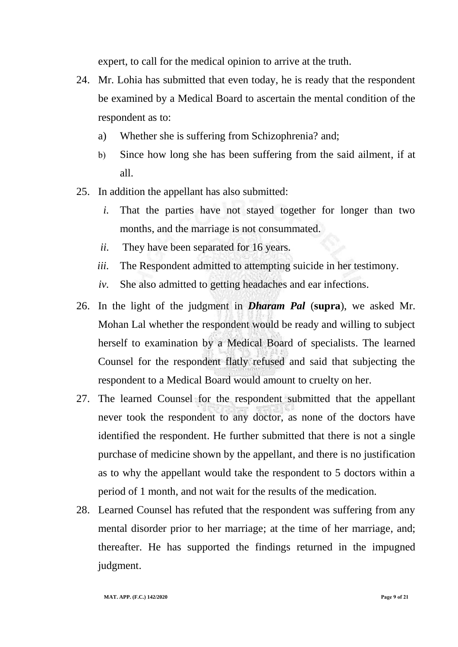expert, to call for the medical opinion to arrive at the truth.

- 24. Mr. Lohia has submitted that even today, he is ready that the respondent be examined by a Medical Board to ascertain the mental condition of the respondent as to:
	- a) Whether she is suffering from Schizophrenia? and;
	- b) Since how long she has been suffering from the said ailment, if at all.
- 25. In addition the appellant has also submitted:
	- *i.* That the parties have not stayed together for longer than two months, and the marriage is not consummated.
	- *ii.* They have been separated for 16 years.
	- *iii.* The Respondent admitted to attempting suicide in her testimony.
	- *iv.* She also admitted to getting headaches and ear infections.
- 26. In the light of the judgment in *Dharam Pal* (**supra**), we asked Mr. Mohan Lal whether the respondent would be ready and willing to subject herself to examination by a Medical Board of specialists. The learned Counsel for the respondent flatly refused and said that subjecting the respondent to a Medical Board would amount to cruelty on her.
- 27. The learned Counsel for the respondent submitted that the appellant never took the respondent to any doctor, as none of the doctors have identified the respondent. He further submitted that there is not a single purchase of medicine shown by the appellant, and there is no justification as to why the appellant would take the respondent to 5 doctors within a period of 1 month, and not wait for the results of the medication.
- 28. Learned Counsel has refuted that the respondent was suffering from any mental disorder prior to her marriage; at the time of her marriage, and; thereafter. He has supported the findings returned in the impugned judgment.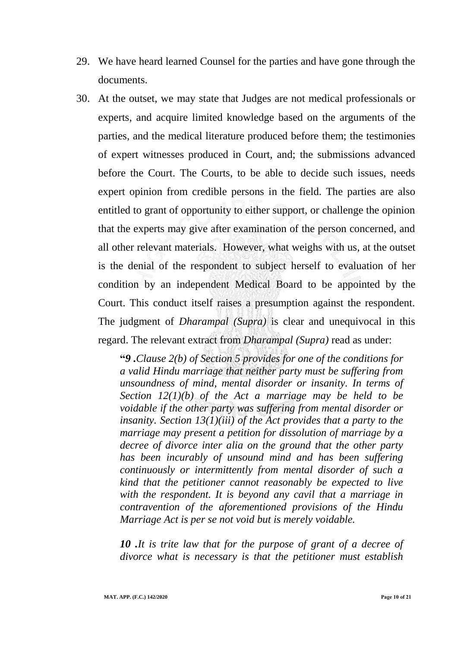- 29. We have heard learned Counsel for the parties and have gone through the documents.
- 30. At the outset, we may state that Judges are not medical professionals or experts, and acquire limited knowledge based on the arguments of the parties, and the medical literature produced before them; the testimonies of expert witnesses produced in Court, and; the submissions advanced before the Court. The Courts, to be able to decide such issues, needs expert opinion from credible persons in the field. The parties are also entitled to grant of opportunity to either support, or challenge the opinion that the experts may give after examination of the person concerned, and all other relevant materials. However, what weighs with us, at the outset is the denial of the respondent to subject herself to evaluation of her condition by an independent Medical Board to be appointed by the Court. This conduct itself raises a presumption against the respondent. The judgment of *Dharampal (Supra)* is clear and unequivocal in this regard. The relevant extract from *Dharampal (Supra)* read as under:

**"***9 .Clause 2(b) of Section 5 provides for one of the conditions for a valid Hindu marriage that neither party must be suffering from unsoundness of mind, mental disorder or insanity. In terms of Section 12(1)(b) of the Act a marriage may be held to be voidable if the other party was suffering from mental disorder or insanity. Section 13(1)(iii) of the Act provides that a party to the marriage may present a petition for dissolution of marriage by a decree of divorce inter alia on the ground that the other party has been incurably of unsound mind and has been suffering continuously or intermittently from mental disorder of such a kind that the petitioner cannot reasonably be expected to live with the respondent. It is beyond any cavil that a marriage in contravention of the aforementioned provisions of the Hindu Marriage Act is per se not void but is merely voidable.*

*10 .It is trite law that for the purpose of grant of a decree of divorce what is necessary is that the petitioner must establish*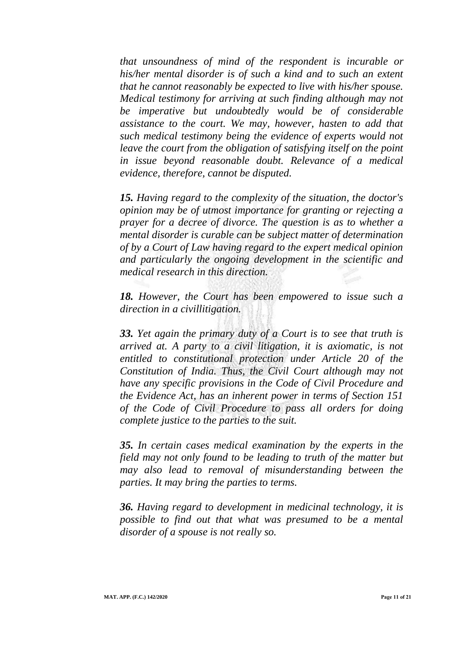*that unsoundness of mind of the respondent is incurable or his/her mental disorder is of such a kind and to such an extent that he cannot reasonably be expected to live with his/her spouse. Medical testimony for arriving at such finding although may not be imperative but undoubtedly would be of considerable assistance to the court. We may, however, hasten to add that such medical testimony being the evidence of experts would not leave the court from the obligation of satisfying itself on the point in issue beyond reasonable doubt. Relevance of a medical evidence, therefore, cannot be disputed.*

*15. Having regard to the complexity of the situation, the doctor's opinion may be of utmost importance for granting or rejecting a prayer for a decree of divorce. The question is as to whether a mental disorder is curable can be subject matter of determination of by a Court of Law having regard to the expert medical opinion and particularly the ongoing development in the scientific and medical research in this direction.*

*18. However, the Court has been empowered to issue such a direction in a civillitigation.*

*33. Yet again the primary duty of a Court is to see that truth is arrived at. A party to a civil litigation, it is axiomatic, is not entitled to constitutional protection under Article 20 of the Constitution of India. Thus, the Civil Court although may not have any specific provisions in the Code of Civil Procedure and the Evidence Act, has an inherent power in terms of Section 151 of the Code of Civil Procedure to pass all orders for doing complete justice to the parties to the suit.*

*35. In certain cases medical examination by the experts in the field may not only found to be leading to truth of the matter but may also lead to removal of misunderstanding between the parties. It may bring the parties to terms.*

*36. Having regard to development in medicinal technology, it is possible to find out that what was presumed to be a mental disorder of a spouse is not really so.*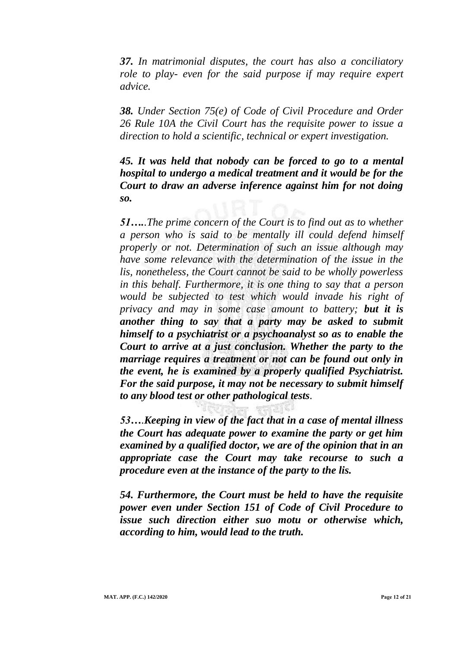*37. In matrimonial disputes, the court has also a conciliatory role to play- even for the said purpose if may require expert advice.*

*38. Under Section 75(e) of Code of Civil Procedure and Order 26 Rule 10A the Civil Court has the requisite power to issue a direction to hold a scientific, technical or expert investigation.*

*45. It was held that nobody can be forced to go to a mental hospital to undergo a medical treatment and it would be for the Court to draw an adverse inference against him for not doing so.*

*51…..The prime concern of the Court is to find out as to whether a person who is said to be mentally ill could defend himself properly or not. Determination of such an issue although may have some relevance with the determination of the issue in the lis, nonetheless, the Court cannot be said to be wholly powerless in this behalf. Furthermore, it is one thing to say that a person would be subjected to test which would invade his right of privacy and may in some case amount to battery; but it is another thing to say that a party may be asked to submit himself to a psychiatrist or a psychoanalyst so as to enable the Court to arrive at a just conclusion. Whether the party to the marriage requires a treatment or not can be found out only in the event, he is examined by a properly qualified Psychiatrist. For the said purpose, it may not be necessary to submit himself to any blood test or other pathological tests.* 

*53….Keeping in view of the fact that in a case of mental illness the Court has adequate power to examine the party or get him examined by a qualified doctor, we are of the opinion that in an appropriate case the Court may take recourse to such a procedure even at the instance of the party to the lis.*

*54. Furthermore, the Court must be held to have the requisite power even under Section 151 of Code of Civil Procedure to issue such direction either suo motu or otherwise which, according to him, would lead to the truth.*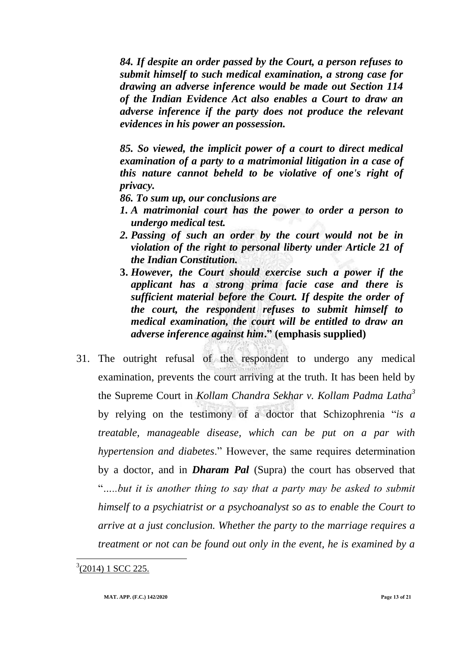*84. If despite an order passed by the Court, a person refuses to submit himself to such medical examination, a strong case for drawing an adverse inference would be made out Section 114 of the Indian Evidence Act also enables a Court to draw an adverse inference if the party does not produce the relevant evidences in his power an possession.*

*85. So viewed, the implicit power of a court to direct medical examination of a party to a matrimonial litigation in a case of this nature cannot beheld to be violative of one's right of privacy.*

*86. To sum up, our conclusions are*

- *1. A matrimonial court has the power to order a person to undergo medical test.*
- *2. Passing of such an order by the court would not be in violation of the right to personal liberty under Article 21 of the Indian Constitution.*
- **3.** *However, the Court should exercise such a power if the applicant has a strong prima facie case and there is sufficient material before the Court. If despite the order of the court, the respondent refuses to submit himself to medical examination, the court will be entitled to draw an adverse inference against him***." (emphasis supplied)**
- 31. The outright refusal of the respondent to undergo any medical examination, prevents the court arriving at the truth. It has been held by the Supreme Court in *Kollam Chandra Sekhar v. Kollam Padma Latha<sup>3</sup>* by relying on the testimony of a doctor that Schizophrenia "*is a treatable, manageable disease, which can be put on a par with hypertension and diabetes*." However, the same requires determination by a doctor, and in *Dharam Pal* (Supra) the court has observed that "*…..but it is another thing to say that a party may be asked to submit himself to a psychiatrist or a psychoanalyst so as to enable the Court to arrive at a just conclusion. Whether the party to the marriage requires a treatment or not can be found out only in the event, he is examined by a*

<sup>3</sup>(2014) 1 SCC 225.

 $\overline{a}$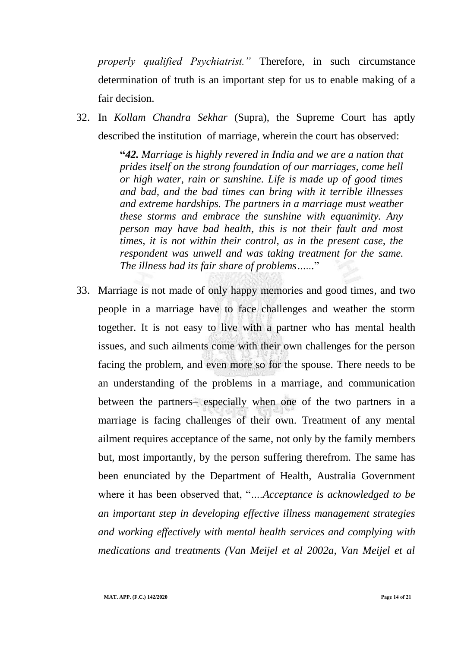*properly qualified Psychiatrist."* Therefore, in such circumstance determination of truth is an important step for us to enable making of a fair decision.

32. In *Kollam Chandra Sekhar* (Supra), the Supreme Court has aptly described the institution of marriage, wherein the court has observed:

> **"***42. Marriage is highly revered in India and we are a nation that prides itself on the strong foundation of our marriages, come hell or high water, rain or sunshine. Life is made up of good times and bad, and the bad times can bring with it terrible illnesses and extreme hardships. The partners in a marriage must weather these storms and embrace the sunshine with equanimity. Any person may have bad health, this is not their fault and most times, it is not within their control, as in the present case, the respondent was unwell and was taking treatment for the same. The illness had its fair share of problems…...*"

33. Marriage is not made of only happy memories and good times, and two people in a marriage have to face challenges and weather the storm together. It is not easy to live with a partner who has mental health issues, and such ailments come with their own challenges for the person facing the problem, and even more so for the spouse. There needs to be an understanding of the problems in a marriage, and communication between the partners– especially when one of the two partners in a marriage is facing challenges of their own. Treatment of any mental ailment requires acceptance of the same, not only by the family members but, most importantly, by the person suffering therefrom. The same has been enunciated by the Department of Health, Australia Government where it has been observed that, "*….Acceptance is acknowledged to be an important step in developing effective illness management strategies and working effectively with mental health services and complying with medications and treatments (Van Meijel et al 2002a, Van Meijel et al*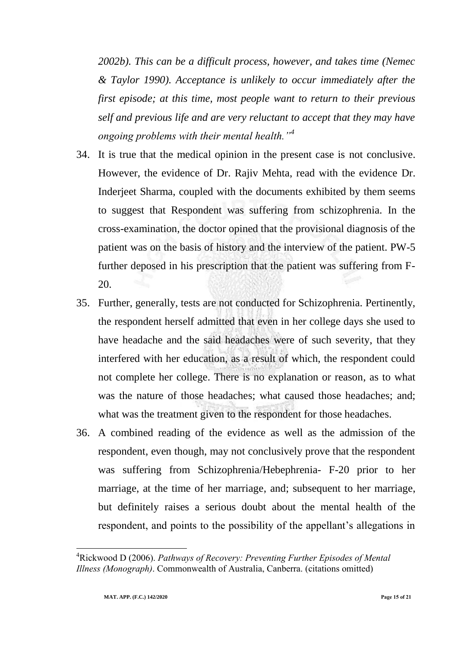*2002b). This can be a difficult process, however, and takes time (Nemec & Taylor 1990). Acceptance is unlikely to occur immediately after the first episode; at this time, most people want to return to their previous self and previous life and are very reluctant to accept that they may have ongoing problems with their mental health."<sup>4</sup>*

- 34. It is true that the medical opinion in the present case is not conclusive. However, the evidence of Dr. Rajiv Mehta, read with the evidence Dr. Inderjeet Sharma, coupled with the documents exhibited by them seems to suggest that Respondent was suffering from schizophrenia. In the cross-examination, the doctor opined that the provisional diagnosis of the patient was on the basis of history and the interview of the patient. PW-5 further deposed in his prescription that the patient was suffering from F-20.
- 35. Further, generally, tests are not conducted for Schizophrenia. Pertinently, the respondent herself admitted that even in her college days she used to have headache and the said headaches were of such severity, that they interfered with her education, as a result of which, the respondent could not complete her college. There is no explanation or reason, as to what was the nature of those headaches; what caused those headaches; and; what was the treatment given to the respondent for those headaches.
- 36. A combined reading of the evidence as well as the admission of the respondent, even though, may not conclusively prove that the respondent was suffering from Schizophrenia/Hebephrenia- F-20 prior to her marriage, at the time of her marriage, and; subsequent to her marriage, but definitely raises a serious doubt about the mental health of the respondent, and points to the possibility of the appellant's allegations in

 $\overline{a}$ 

<sup>4</sup>Rickwood D (2006). *Pathways of Recovery: Preventing Further Episodes of Mental Illness (Monograph)*. Commonwealth of Australia, Canberra. (citations omitted)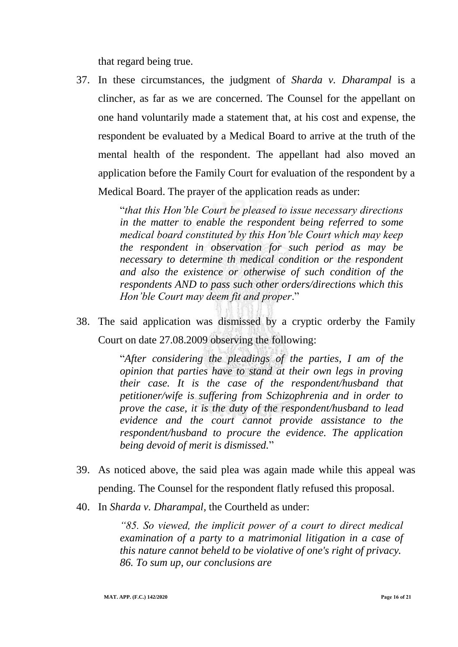that regard being true.

37. In these circumstances, the judgment of *Sharda v. Dharampal* is a clincher, as far as we are concerned. The Counsel for the appellant on one hand voluntarily made a statement that, at his cost and expense, the respondent be evaluated by a Medical Board to arrive at the truth of the mental health of the respondent. The appellant had also moved an application before the Family Court for evaluation of the respondent by a Medical Board. The prayer of the application reads as under:

> "*that this Hon'ble Court be pleased to issue necessary directions in the matter to enable the respondent being referred to some medical board constituted by this Hon'ble Court which may keep the respondent in observation for such period as may be necessary to determine th medical condition or the respondent and also the existence or otherwise of such condition of the respondents AND to pass such other orders/directions which this Hon'ble Court may deem fit and proper*."

38. The said application was dismissed by a cryptic orderby the Family Court on date 27.08.2009 observing the following:

> "*After considering the pleadings of the parties, I am of the opinion that parties have to stand at their own legs in proving their case. It is the case of the respondent/husband that petitioner/wife is suffering from Schizophrenia and in order to prove the case, it is the duty of the respondent/husband to lead evidence and the court cannot provide assistance to the respondent/husband to procure the evidence. The application being devoid of merit is dismissed.*"

- 39. As noticed above, the said plea was again made while this appeal was pending. The Counsel for the respondent flatly refused this proposal.
- 40. In *Sharda v. Dharampal,* the Courtheld as under:

*"85. So viewed, the implicit power of a court to direct medical examination of a party to a matrimonial litigation in a case of this nature cannot beheld to be violative of one's right of privacy. 86. To sum up, our conclusions are*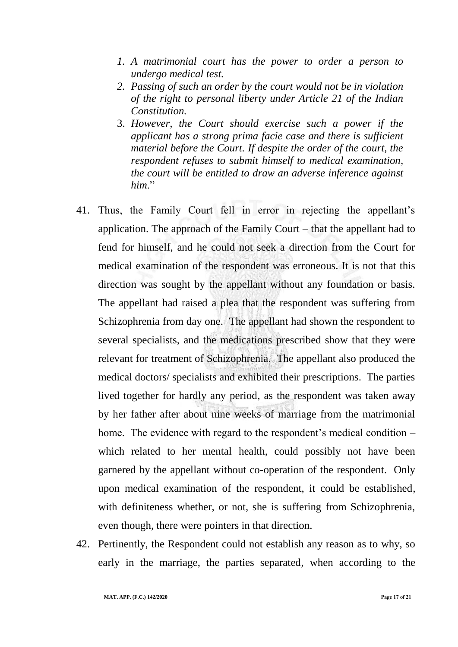- *1. A matrimonial court has the power to order a person to undergo medical test.*
- *2. Passing of such an order by the court would not be in violation of the right to personal liberty under Article 21 of the Indian Constitution.*
- 3. *However, the Court should exercise such a power if the applicant has a strong prima facie case and there is sufficient material before the Court. If despite the order of the court, the respondent refuses to submit himself to medical examination, the court will be entitled to draw an adverse inference against him*."
- 41. Thus, the Family Court fell in error in rejecting the appellant"s application. The approach of the Family Court – that the appellant had to fend for himself, and he could not seek a direction from the Court for medical examination of the respondent was erroneous. It is not that this direction was sought by the appellant without any foundation or basis. The appellant had raised a plea that the respondent was suffering from Schizophrenia from day one. The appellant had shown the respondent to several specialists, and the medications prescribed show that they were relevant for treatment of Schizophrenia. The appellant also produced the medical doctors/ specialists and exhibited their prescriptions. The parties lived together for hardly any period, as the respondent was taken away by her father after about nine weeks of marriage from the matrimonial home. The evidence with regard to the respondent's medical condition  $$ which related to her mental health, could possibly not have been garnered by the appellant without co-operation of the respondent. Only upon medical examination of the respondent, it could be established, with definiteness whether, or not, she is suffering from Schizophrenia, even though, there were pointers in that direction.
- 42. Pertinently, the Respondent could not establish any reason as to why, so early in the marriage, the parties separated, when according to the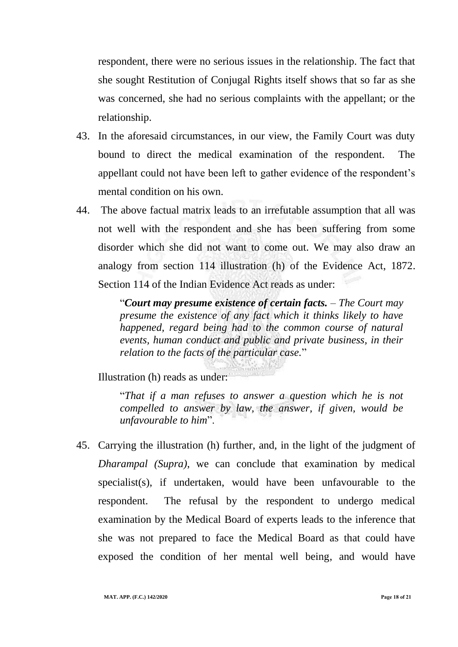respondent, there were no serious issues in the relationship. The fact that she sought Restitution of Conjugal Rights itself shows that so far as she was concerned, she had no serious complaints with the appellant; or the relationship.

- 43. In the aforesaid circumstances, in our view, the Family Court was duty bound to direct the medical examination of the respondent. The appellant could not have been left to gather evidence of the respondent"s mental condition on his own.
- 44. The above factual matrix leads to an irrefutable assumption that all was not well with the respondent and she has been suffering from some disorder which she did not want to come out. We may also draw an analogy from section 114 illustration (h) of the Evidence Act, 1872. Section 114 of the Indian Evidence Act reads as under:

"*Court may presume existence of certain facts. – The Court may presume the existence of any fact which it thinks likely to have happened, regard being had to the common course of natural events, human conduct and public and private business, in their relation to the facts of the particular case.*"

Illustration (h) reads as under:

"*That if a man refuses to answer a question which he is not compelled to answer by law, the answer, if given, would be unfavourable to him*".

45. Carrying the illustration (h) further, and, in the light of the judgment of *Dharampal (Supra)*, we can conclude that examination by medical specialist(s), if undertaken, would have been unfavourable to the respondent. The refusal by the respondent to undergo medical examination by the Medical Board of experts leads to the inference that she was not prepared to face the Medical Board as that could have exposed the condition of her mental well being, and would have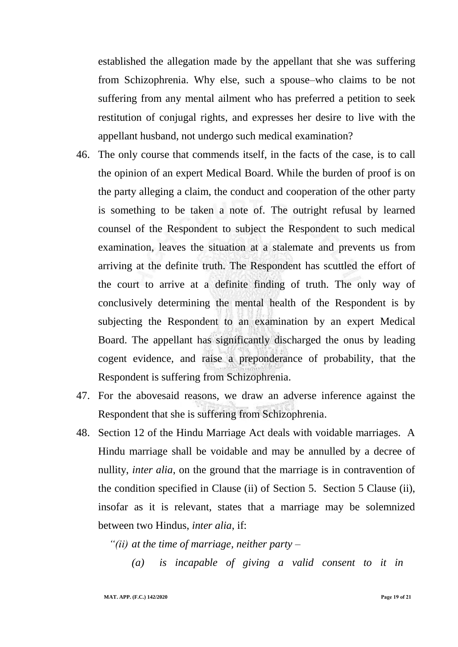established the allegation made by the appellant that she was suffering from Schizophrenia. Why else, such a spouse–who claims to be not suffering from any mental ailment who has preferred a petition to seek restitution of conjugal rights, and expresses her desire to live with the appellant husband, not undergo such medical examination?

- 46. The only course that commends itself, in the facts of the case, is to call the opinion of an expert Medical Board. While the burden of proof is on the party alleging a claim, the conduct and cooperation of the other party is something to be taken a note of. The outright refusal by learned counsel of the Respondent to subject the Respondent to such medical examination, leaves the situation at a stalemate and prevents us from arriving at the definite truth. The Respondent has scuttled the effort of the court to arrive at a definite finding of truth. The only way of conclusively determining the mental health of the Respondent is by subjecting the Respondent to an examination by an expert Medical Board. The appellant has significantly discharged the onus by leading cogent evidence, and raise a preponderance of probability, that the Respondent is suffering from Schizophrenia.
- 47. For the abovesaid reasons, we draw an adverse inference against the Respondent that she is suffering from Schizophrenia.
- 48. Section 12 of the Hindu Marriage Act deals with voidable marriages. A Hindu marriage shall be voidable and may be annulled by a decree of nullity, *inter alia*, on the ground that the marriage is in contravention of the condition specified in Clause (ii) of Section 5. Section 5 Clause (ii), insofar as it is relevant, states that a marriage may be solemnized between two Hindus, *inter alia*, if:

*"(ii) at the time of marriage, neither party –*

*(a) is incapable of giving a valid consent to it in*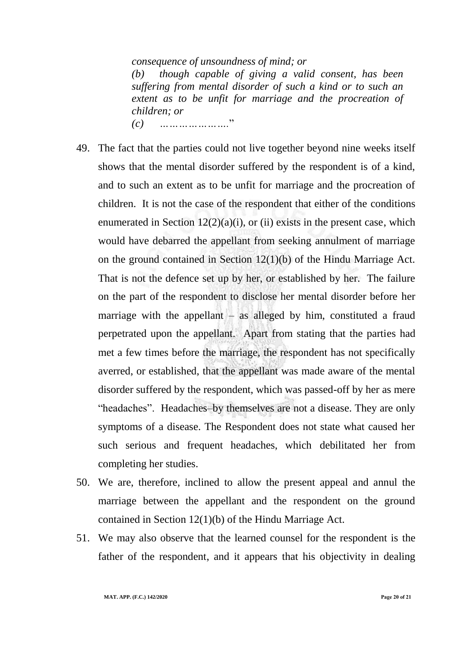*consequence of unsoundness of mind; or (b) though capable of giving a valid consent, has been suffering from mental disorder of such a kind or to such an extent as to be unfit for marriage and the procreation of children; or (c) ………………….*"

49. The fact that the parties could not live together beyond nine weeks itself shows that the mental disorder suffered by the respondent is of a kind, and to such an extent as to be unfit for marriage and the procreation of children. It is not the case of the respondent that either of the conditions enumerated in Section  $12(2)(a)(i)$ , or (ii) exists in the present case, which would have debarred the appellant from seeking annulment of marriage on the ground contained in Section 12(1)(b) of the Hindu Marriage Act. That is not the defence set up by her, or established by her. The failure on the part of the respondent to disclose her mental disorder before her marriage with the appellant – as alleged by him, constituted a fraud perpetrated upon the appellant. Apart from stating that the parties had met a few times before the marriage, the respondent has not specifically averred, or established, that the appellant was made aware of the mental disorder suffered by the respondent, which was passed-off by her as mere "headaches". Headaches–by themselves are not a disease. They are only symptoms of a disease. The Respondent does not state what caused her such serious and frequent headaches, which debilitated her from completing her studies.

- 50. We are, therefore, inclined to allow the present appeal and annul the marriage between the appellant and the respondent on the ground contained in Section 12(1)(b) of the Hindu Marriage Act.
- 51. We may also observe that the learned counsel for the respondent is the father of the respondent, and it appears that his objectivity in dealing